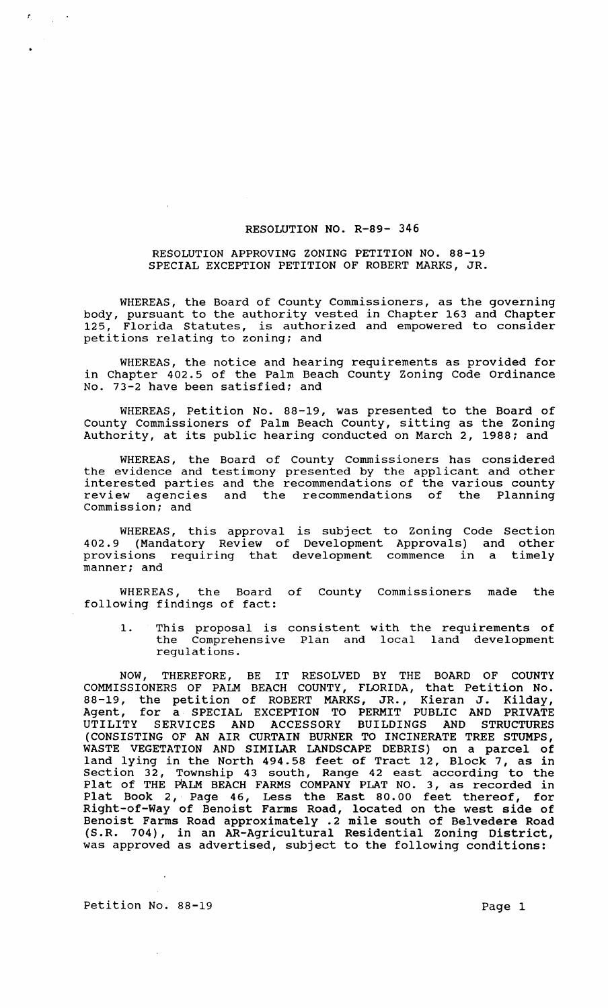## RESOLUTION NO. R-89- 346

## RESOLUTION APPROVING ZONING PETITION NO. 88-19 SPECIAL EXCEPTION PETITION OF ROBERT MARKS, JR.

WHEREAS, the Board of County Commissioners, as the governing body, pursuant to the authority vested in Chapter 163 and Chapter<br>125. Florida Statutes, is authorized and empowered to consider Florida Statutes, is authorized and empowered to consider petitions relating to zoning; and

WHEREAS, the notice and hearing requirements as provided for in Chapter 402.5 of the Palm Beach County Zoning Code Ordinance No. 73-2 have been satisfied; and

WHEREAS, Petition No. 88-19, was presented to the Board of County Commissioners of Palm Beach County, sitting as the Zoning Authority, at its public hearing conducted on March 2, 1988; and

WHEREAS, the Board of County Commissioners has considered the evidence and testimony presented by the applicant and other interested parties and the recommendations of the various county review agencies and the recommendations of the Planning commission; and

WHEREAS, this approval is subject to Zoning Code Section 402.9 (Mandatory Review of Development Approvals) and other provisions requiring that development commence in a timely manner; and

WHEREAS, the Board of County Commissioners made the following findings of fact:

1. This proposal is consistent with the requirements of the Comprehensive Plan and local land development regulations.

NOW, THEREFORE, BE IT RESOLVED BY THE BOARD OF COUNTY COMMISSIONERS OF PALM BEACH COUNTY, FLORIDA, that Petition No. 88-19, the petition of ROBERT MARKS, JR., Kieran J. Kilday, Agent, for a SPECIAL EXCEPTION TO PERMIT PUBLIC AND PRIVATE UTILITY SERVICES AND ACCESSORY BUILDINGS AND STRUCTURES (CONSISTING OF AN AIR CURTAIN BURNER TO INCINERATE TREE STUMPS, WASTE VEGETATION AND SIMILAR LANDSCAPE DEBRIS) on a parcel of land lying in the North 494.58 feet of Tract 12, Block 7, as in section 32, Township 43 south, Range 42 east according to the Plat of THE PALM BEACH FARMS COMPANY PLAT NO. 3, as recorded in Plat Book 2, Page 46, Less the East 80.00 feet thereof, for Right-of-Way of Benoist Farms Road, located on the west side of Benoist Farms Road approximately .2 mile south of Belvedere Road (S.R. 704), in an AR-Agricultural Residential Zoning District, was approved as advertised, subject to the following conditions:

Petition No. 88-19 Page 1

 $\frac{1}{2}$  ,  $\frac{1}{2}$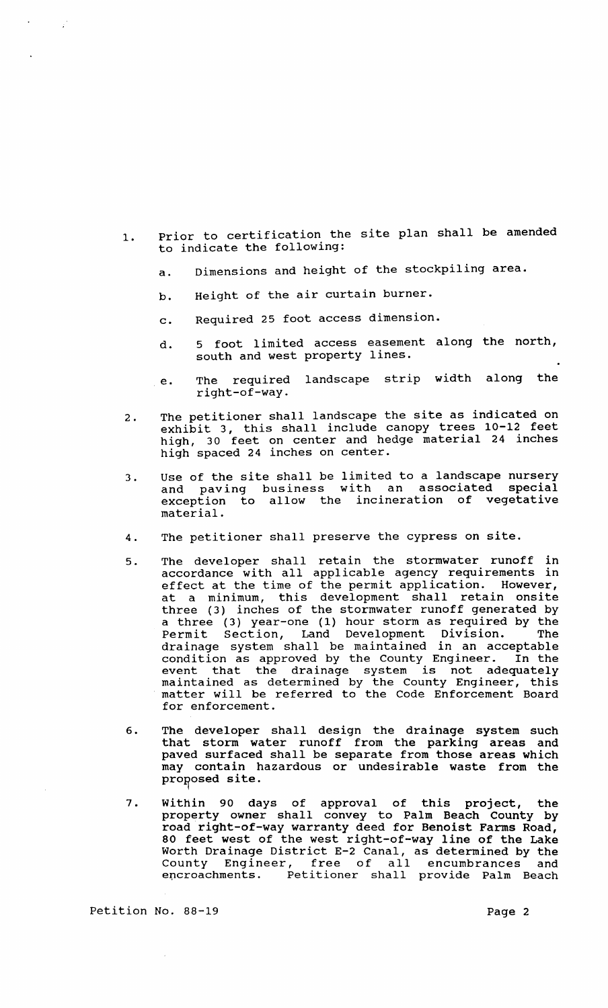- 1. Prior to certification the site plan shall be amended to indicate the following:
	- a. Dimensions and height of the stockpiling area.
	- b. Height of the air curtain burner.
	- c. Required 25 foot access dimension.
	- d. 5 foot limited access easement along the north, south and west property lines.
	- e. The required landscape strip width along the right-of-way.
- 2. The petitioner shall landscape the site as indicated on exhibit 3, this shall include canopy trees 10-12 feet high, 30 feet on center and hedge material 24 inches high spaced 24 inches on center.
- 3. Use of the site shall be limited to a landscape nursery and paving business with an associated special exception to allow the incineration of vegetative material.
- 4. The petitioner shall preserve the cypress on site.
- 5. The developer shall retain the stormwater runoff in accordance with all applicable agency requirements in accordance with all appricable agency requirements in at a minimum, this development shall retain onsite three (3) inches of the stormwater runoff generated by a three (3) year-one (1) hour storm as required by the Permit Section, Land Development Division. drainage system shall be maintained in an acceptable condition as approved by the County Engineer. In the event that the drainage system is not adequately maintained as determined by the County Engineer, this mathed has accommed by the codincy ingineer, this for enforcement.
- 6. The developer shall design the drainage system such that storm water runoff from the parking areas and paved surfaced shall be separate from those areas which may contain hazardous or undesirable waste from the proposed site.
- 7. within 90 days of approval of this project, the property owner shall convey to Palm Beach county by road right-of-way warranty deed for Benoist Farms Road, 80 feet west of the west right-of-way line of the Lake Worth Drainage District E-2 Canal, as determined by the worth brainage bistrict E-2 canar, as determined by the<br>County Engineer, free of all encumbrances and encroachments. Petitioner shall provide Palm Beach

Petition No. 88-19 Page 2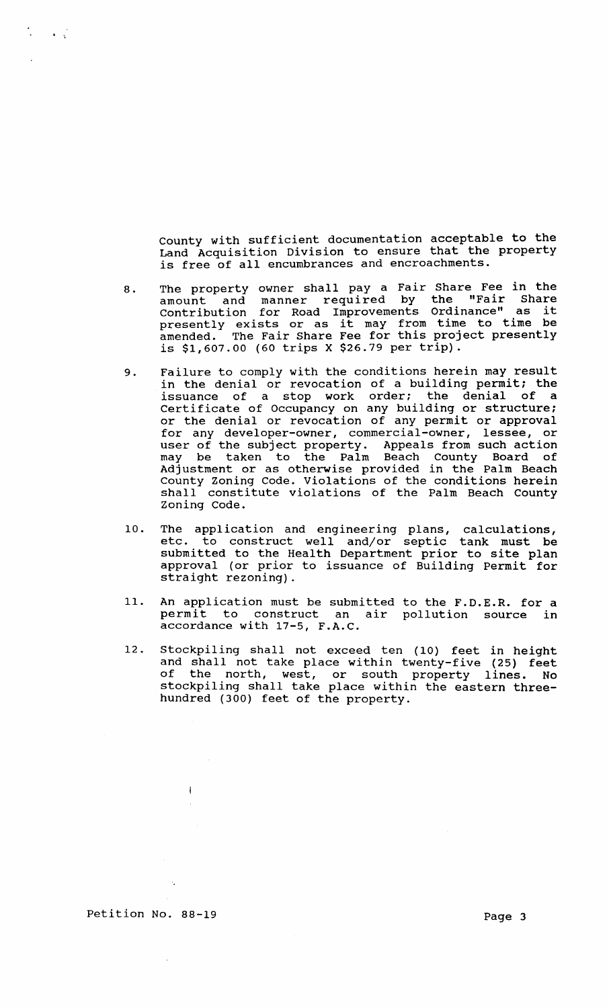county with sufficient documentation acceptable to the Land Acquisition Division to ensure that the property is free of all encumbrances and encroachments.

- 8. The property owner shall pay a Fair Share Fee in the amount and manner required by the "Fair Share amount and manner required by the "Fair Share<br>Contribution for Road Improvements Ordinance" as it Contribution for Road improvements Oldinance as it<br>presently exists or as it may from time to time be amended. The Fair Share Fee for this project presently is \$1,607.00 (60 trips X \$26.79 per trip).
- 9. Failure to comply with the conditions herein may result in the denial or revocation of a building permit; the issuance of a stop work order; the denial of a certificate of Occupancy on any building or structure; or the denial or revocation of any permit or approval for any developer-owner, commercial-owner, lessee, or user of the subject property. Appeals from such action may be taken to the Palm Beach County Board of Adjustment or as otherwise provided in the Palm Beach County Zoning Code. Violations of the conditions herein shall constitute violations of the Palm Beach County Zoning Code.
- 10. The application and engineering plans, calculations, etc. to construct well and/or septic tank must be submitted to the Health Department prior to site plan approval (or prior to issuance of Building Permit for straight rezoning).
- 11. An application must be submitted to the F.D.E.R. for a permit to construct an air pollution source in accordance with 17-5, F.A.C.
- 12. Stockpiling shall not exceed ten (10) feet in height and shall not take place within twenty-five (25) feet of the north, west, or south property lines. No stockpiling shall take place within the eastern threehundred (300) feet of the property.

Petition No. 88-19 Page 3

 $\sim$ 

 $\bar{1}$ 

 $\frac{1}{2}$  ,  $\frac{1}{2}$  ,  $\frac{1}{2}$